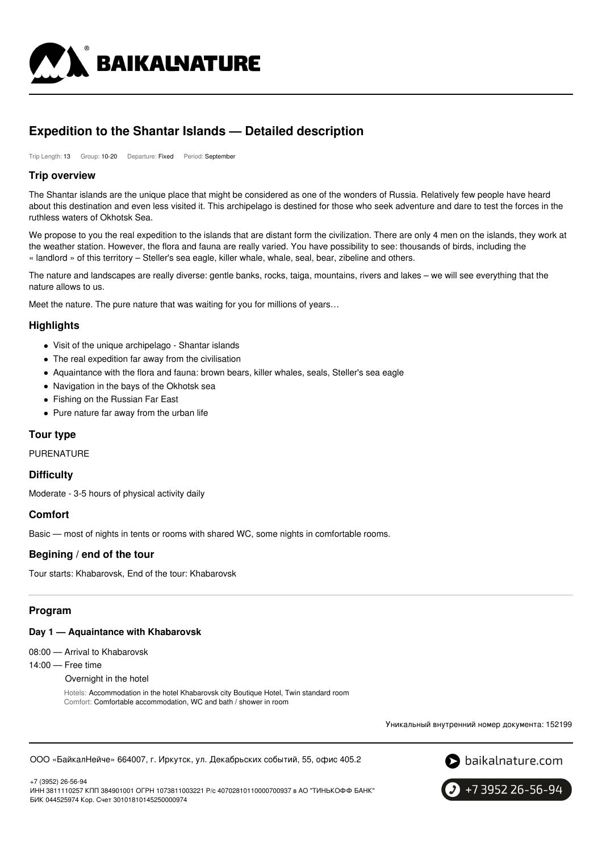

# **Expedition to the Shantar Islands — Detailed description**

Trip Length: 13 Group: 10-20 Departure: Fixed Period: September

### **Trip overview**

The Shantar islands are the unique place that might be considered as one of the wonders of Russia. Relatively few people have heard about this destination and even less visited it. This archipelago is destined for those who seek adventure and dare to test the forces in the ruthless waters of Okhotsk Sea.

We propose to you the real expedition to the islands that are distant form the civilization. There are only 4 men on the islands, they work at the weather station. However, the flora and fauna are really varied. You have possibility to see: thousands of birds, including the « landlord » of this territory – Steller's sea eagle, killer whale, whale, seal, bear, zibeline and others.

The nature and landscapes are really diverse: gentle banks, rocks, taiga, mountains, rivers and lakes – we will see everything that the nature allows to us.

Meet the nature. The pure nature that was waiting for you for millions of years…

# **Highlights**

- Visit of the unique archipelago Shantar islands
- The real expedition far away from the civilisation
- Aquaintance with the flora and fauna: brown bears, killer whales, seals, Steller's sea eagle
- Navigation in the bays of the Okhotsk sea
- Fishing on the Russian Far East
- Pure nature far away from the urban life

# **Tour type**

PURENATURE

#### **Difficulty**

Moderate - 3-5 hours of physical activity daily

#### **Comfort**

Basic — most of nights in tents or rooms with shared WC, some nights in comfortable rooms.

#### **Begining / end of the tour**

Tour starts: Khabarovsk, End of the tour: Khabarovsk

# **Program**

#### **Day 1 — Aquaintance with Khabarovsk**

08:00 — Arrival to Khabarovsk

14:00 — Free time

Overnight in the hotel

Hotels: Accommodation in the hotel Khabarovsk city Boutique Hotel, Twin standard room Comfort: Comfortable accommodation, WC and bath / shower in room

Уникальный внутренний номер документа: 152199

ООО «БайкалНейче» 664007, г. Иркутск, ул. Декабрьских событий, 55, офис 405.2



+7 (3952) 26-56-94

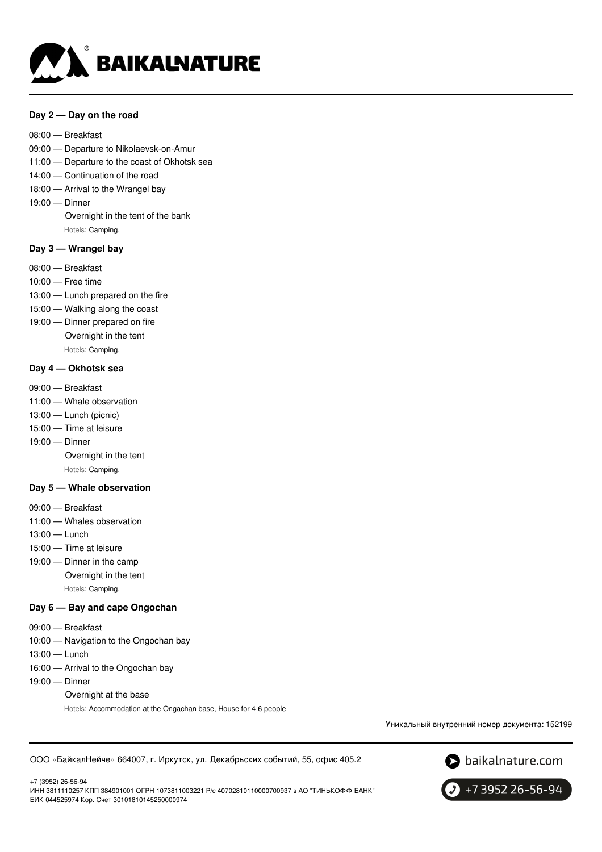

### **Day 2 — Day on the road**

- 08:00 Breakfast
- 09:00 Departure to Nikolaevsk-on-Amur
- 11:00 Departure to the coast of Okhotsk sea
- 14:00 Continuation of the road
- 18:00 Arrival to the Wrangel bay
- 19:00 Dinner

Overnight in the tent of the bank Hotels: Camping,

# **Day 3 — Wrangel bay**

- 08:00 Breakfast
- 10:00 Free time
- 13:00 Lunch prepared on the fire
- 15:00 Walking along the coast
- 19:00 Dinner prepared on fire Overnight in the tent

Hotels: Camping,

### **Day 4 — Okhotsk sea**

- 09:00 Breakfast
- 11:00 Whale observation
- 13:00 Lunch (picnic)
- 15:00 Time at leisure
- 19:00 Dinner

Overnight in the tent

Hotels: Camping,

#### **Day 5 — Whale observation**

- 09:00 Breakfast
- 11:00 Whales observation
- 13:00 Lunch
- 15:00 Time at leisure
- 19:00 Dinner in the camp
	- Overnight in the tent

Hotels: Camping,

### **Day 6 — Bay and cape Ongochan**

- 09:00 Breakfast
- 10:00 Navigation to the Ongochan bay
- 13:00 Lunch
- 16:00 Arrival to the Ongochan bay
- 19:00 Dinner
	- Overnight at the base

Hotels: Accommodation at the Ongachan base, House for 4-6 people

Уникальный внутренний номер документа: 152199

ООО «БайкалНейче» 664007, г. Иркутск, ул. Декабрьских событий, 55, офис 405.2



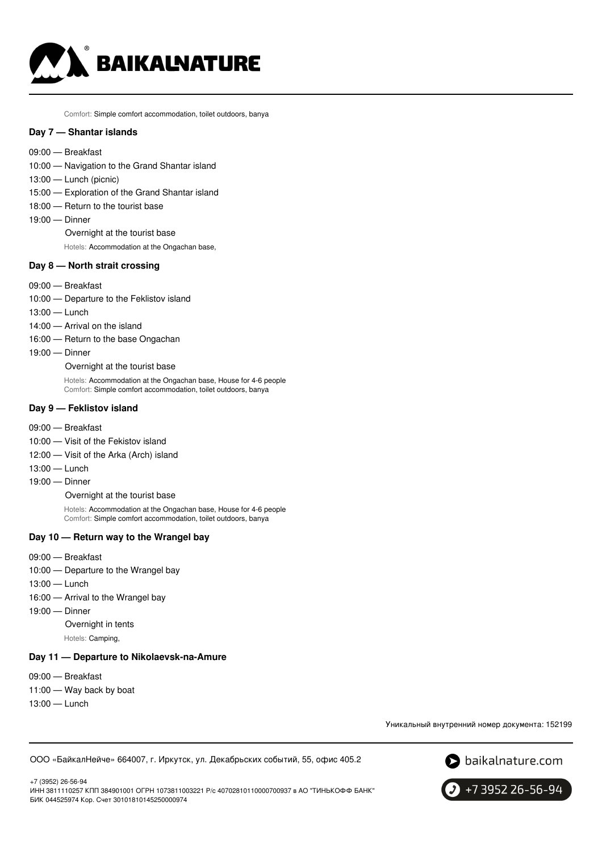

Comfort: Simple comfort accommodation, toilet outdoors, banya

#### **Day 7 — Shantar islands**

- 09:00 Breakfast
- 10:00 Navigation to the Grand Shantar island
- 13:00 Lunch (picnic)
- 15:00 Exploration of the Grand Shantar island
- 18:00 Return to the tourist base
- 19:00 Dinner
	- Overnight at the tourist base
	- Hotels: Accommodation at the Ongachan base,

### **Day 8 — North strait crossing**

- 09:00 Breakfast
- 10:00 Departure to the Feklistov island
- 13:00 Lunch
- 14:00 Arrival on the island
- 16:00 Return to the base Ongachan
- 19:00 Dinner

Overnight at the tourist base

Hotels: Accommodation at the Ongachan base, House for 4-6 people Comfort: Simple comfort accommodation, toilet outdoors, banya

#### **Day 9 — Feklistov island**

- 09:00 Breakfast
- 10:00 Visit of the Fekistov island
- 12:00 Visit of the Arka (Arch) island
- 13:00 Lunch
- 19:00 Dinner

Overnight at the tourist base

Hotels: Accommodation at the Ongachan base, House for 4-6 people Comfort: Simple comfort accommodation, toilet outdoors, banya

# **Day 10 — Return way to the Wrangel bay**

- 09:00 Breakfast
- 10:00 Departure to the Wrangel bay
- 13:00 Lunch
- 16:00 Arrival to the Wrangel bay
- 19:00 Dinner

Overnight in tents

Hotels: Camping,

#### **Day 11 — Departure to Nikolaevsk-na-Amure**

- 09:00 Breakfast
- 11:00 Way back by boat
- 13:00 Lunch

Уникальный внутренний номер документа: 152199

ООО «БайкалНейче» 664007, г. Иркутск, ул. Декабрьских событий, 55, офис 405.2



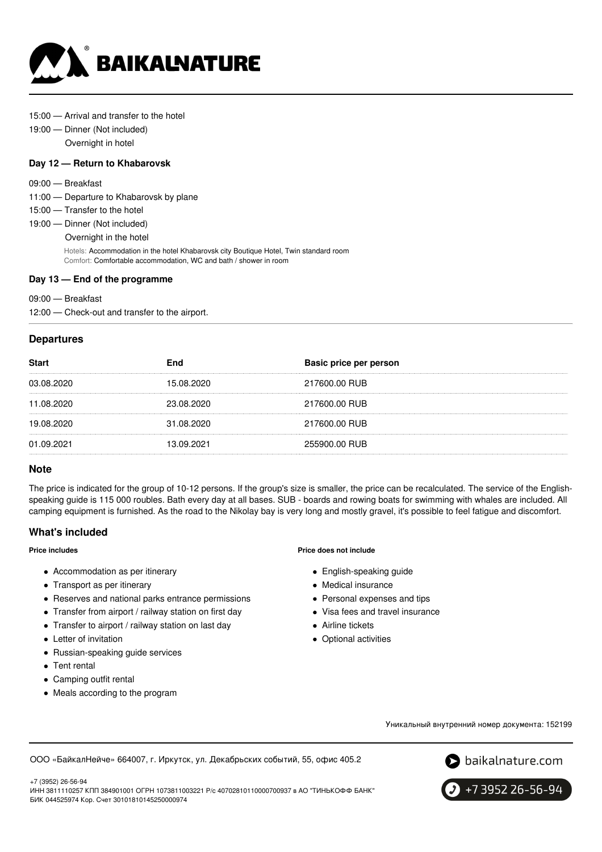

#### 15:00 — Arrival and transfer to the hotel

19:00 — Dinner (Not included) Overnight in hotel

#### **Day 12 — Return to Khabarovsk**

- 09:00 Breakfast
- 11:00 Departure to Khabarovsk by plane
- 15:00 Transfer to the hotel
- 19:00 Dinner (Not included)

Overnight in the hotel

Hotels: Accommodation in the hotel Khabarovsk city Boutique Hotel, Twin standard room Comfort: Comfortable accommodation, WC and bath / shower in room

#### **Day 13 — End of the programme**

09:00 — Breakfast

12:00 — Сheck-out and transfer to the airport.

### **Departures**

| <b>Start</b> | End        | Basic price per person |
|--------------|------------|------------------------|
| 03.08.2020   | 15.08.2020 | 217600.00 RUB          |
| 11.08.2020   | 23.08.2020 | 217600.00 RUB          |
| 19.08.2020   | 31.08.2020 | 217600.00 RUB          |
| 01.09.2021   | 13.09.2021 | 255900.00 RUB          |

# **Note**

The price is indicated for the group of 10-12 persons. If the group's size is smaller, the price can be recalculated. The service of the Englishspeaking guide is 115 000 roubles. Bath every day at all bases. SUB - boards and rowing boats for swimming with whales are included. All camping equipment is furnished. As the road to the Nikolay bay is very long and mostly gravel, it's possible to feel fatigue and discomfort.

#### **What's included**

#### **Price includes**

- Accommodation as per itinerary
- Transport as per itinerary
- Reserves and national parks entrance permissions
- Transfer from airport / railway station on first day
- Transfer to airport / railway station on last day
- Letter of invitation
- Russian-speaking guide services
- Tent rental

+7 (3952) 26-56-94

- Camping outfit rental
- Meals according to the program

#### **Price does not include**

- English-speaking guide
- Medical insurance
- Personal expenses and tips
- Visa fees and travel insurance
- Airline tickets
- Optional activities

Уникальный внутренний номер документа: 152199

ООО «БайкалНейче» 664007, г. Иркутск, ул. Декабрьских событий, 55, офис 405.2



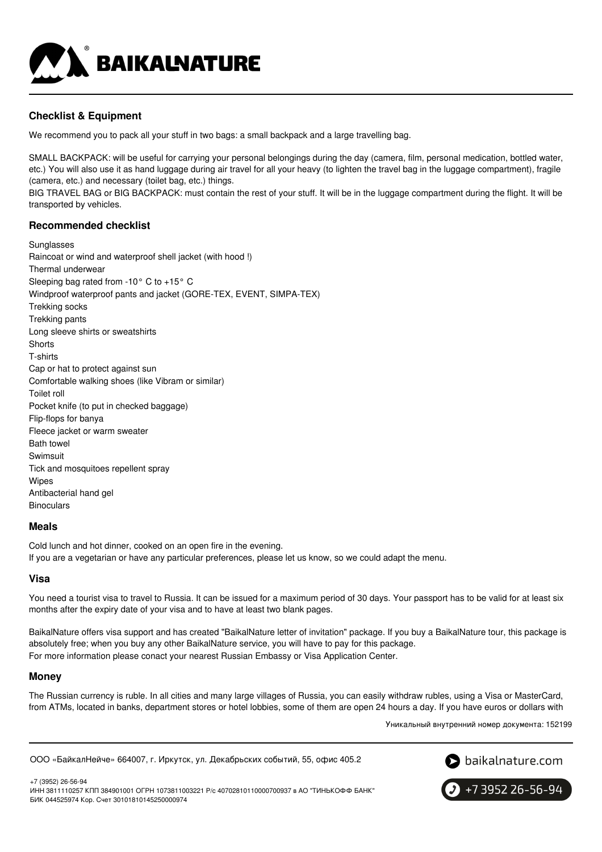

# **Checklist & Equipment**

We recommend you to pack all your stuff in two bags: a small backpack and a large travelling bag.

SMALL BACKPACK: will be useful for carrying your personal belongings during the day (camera, film, personal medication, bottled water, etc.) You will also use it as hand luggage during air travel for all your heavy (to lighten the travel bag in the luggage compartment), fragile (camera, etc.) and necessary (toilet bag, etc.) things.

BIG TRAVEL BAG or BIG BACKPACK: must contain the rest of your stuff. It will be in the luggage compartment during the flight. It will be transported by vehicles.

# **Recommended checklist**

Sunglasses Raincoat or wind and waterproof shell jacket (with hood !) Thermal underwear Sleeping bag rated from -10° C to +15° C Windproof waterproof pants and jacket (GORE-TEX, EVENT, SIMPA-TEX) Trekking socks Trekking pants Long sleeve shirts or sweatshirts **Shorts** T-shirts Cap or hat to protect against sun Comfortable walking shoes (like Vibram or similar) Toilet roll Pocket knife (to put in checked baggage) Flip-flops for banya Fleece jacket or warm sweater Bath towel Swimsuit Tick and mosquitoes repellent spray Wipes Antibacterial hand gel Binoculars

# **Meals**

Cold lunch and hot dinner, cooked on an open fire in the evening.

If you are a vegetarian or have any particular preferences, please let us know, so we could adapt the menu.

# **Visa**

You need a tourist visa to travel to Russia. It can be issued for a maximum period of 30 days. Your passport has to be valid for at least six months after the expiry date of your visa and to have at least two blank pages.

BaikalNature offers visa support and has created "BaikalNature letter of invitation" package. If you buy a BaikalNature tour, this package is absolutely free; when you buy any other BaikalNature service, you will have to pay for this package. For more information please conact your nearest Russian Embassy or Visa Application Center.

# **Money**

The Russian currency is ruble. In all cities and many large villages of Russia, you can easily withdraw rubles, using a Visa or MasterCard, from ATMs, located in banks, department stores or hotel lobbies, some of them are open 24 hours a day. If you have euros or dollars with

Уникальный внутренний номер документа: 152199

ООО «БайкалНейче» 664007, г. Иркутск, ул. Декабрьских событий, 55, офис 405.2



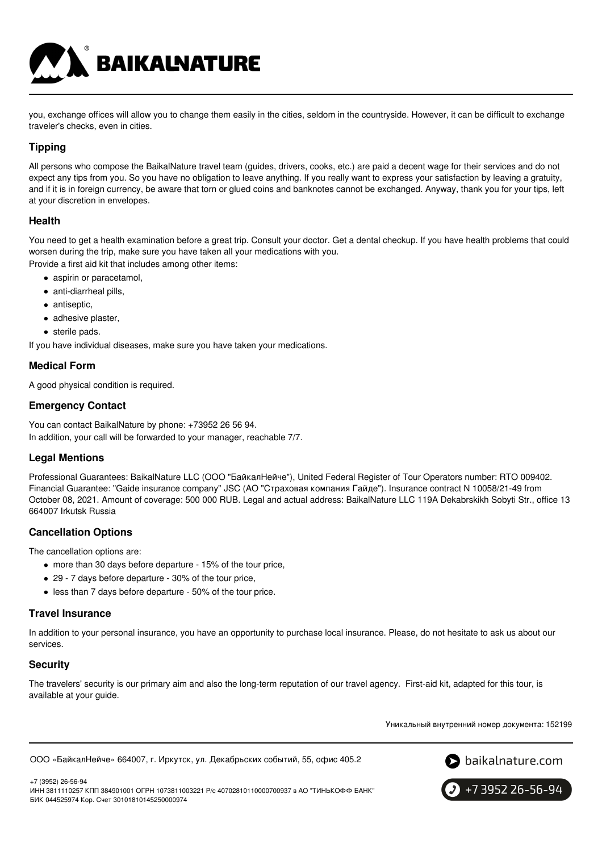**BAIKALNATURE** 

you, exchange offices will allow you to change them easily in the cities, seldom in the countryside. However, it can be difficult to exchange traveler's checks, even in cities.

# **Tipping**

All persons who compose the BaikalNature travel team (guides, drivers, cooks, etc.) are paid a decent wage for their services and do not expect any tips from you. So you have no obligation to leave anything. If you really want to express your satisfaction by leaving a gratuity, and if it is in foreign currency, be aware that torn or glued coins and banknotes cannot be exchanged. Anyway, thank you for your tips, left at your discretion in envelopes.

# **Health**

You need to get a health examination before a great trip. Consult your doctor. Get a dental checkup. If you have health problems that could worsen during the trip, make sure you have taken all your medications with you.

Provide a first aid kit that includes among other items:

- aspirin or paracetamol,
- anti-diarrheal pills,
- antiseptic,
- adhesive plaster,
- sterile pads.

If you have individual diseases, make sure you have taken your medications.

# **Medical Form**

A good physical condition is required.

# **Emergency Contact**

You can contact BaikalNature by phone: +73952 26 56 94. In addition, your call will be forwarded to your manager, reachable 7/7.

# **Legal Mentions**

Professional Guarantees: BaikalNature LLC (ООО "БайкалНейче"), United Federal Register of Tour Operators number: RTO 009402. Financial Guarantee: "Gaide insurance company" JSC (АО "Страховая компания Гайде"). Insurance contract N 10058/21-49 from October 08, 2021. Amount of coverage: 500 000 RUB. Legal and actual address: BaikalNature LLC 119А Dekabrskikh Sobyti Str., office 13 664007 Irkutsk Russia

# **Cancellation Options**

The cancellation options are:

- more than 30 days before departure 15% of the tour price,
- 29 7 days before departure 30% of the tour price,
- less than 7 days before departure 50% of the tour price.

# **Travel Insurance**

In addition to your personal insurance, you have an opportunity to purchase local insurance. Please, do not hesitate to ask us about our services.

# **Security**

The travelers' security is our primary aim and also the long-term reputation of our travel agency. First-aid kit, adapted for this tour, is available at your guide.

Уникальный внутренний номер документа: 152199

ООО «БайкалНейче» 664007, г. Иркутск, ул. Декабрьских событий, 55, офис 405.2



+7 (3952) 26-56-94 ИНН 3811110257 КПП 384901001 ОГРН 1073811003221 Р/с 40702810110000700937 в АО "ТИНЬКОФФ БАНК" БИК 044525974 Кор. Счет 30101810145250000974

+7 3952 26-56-94